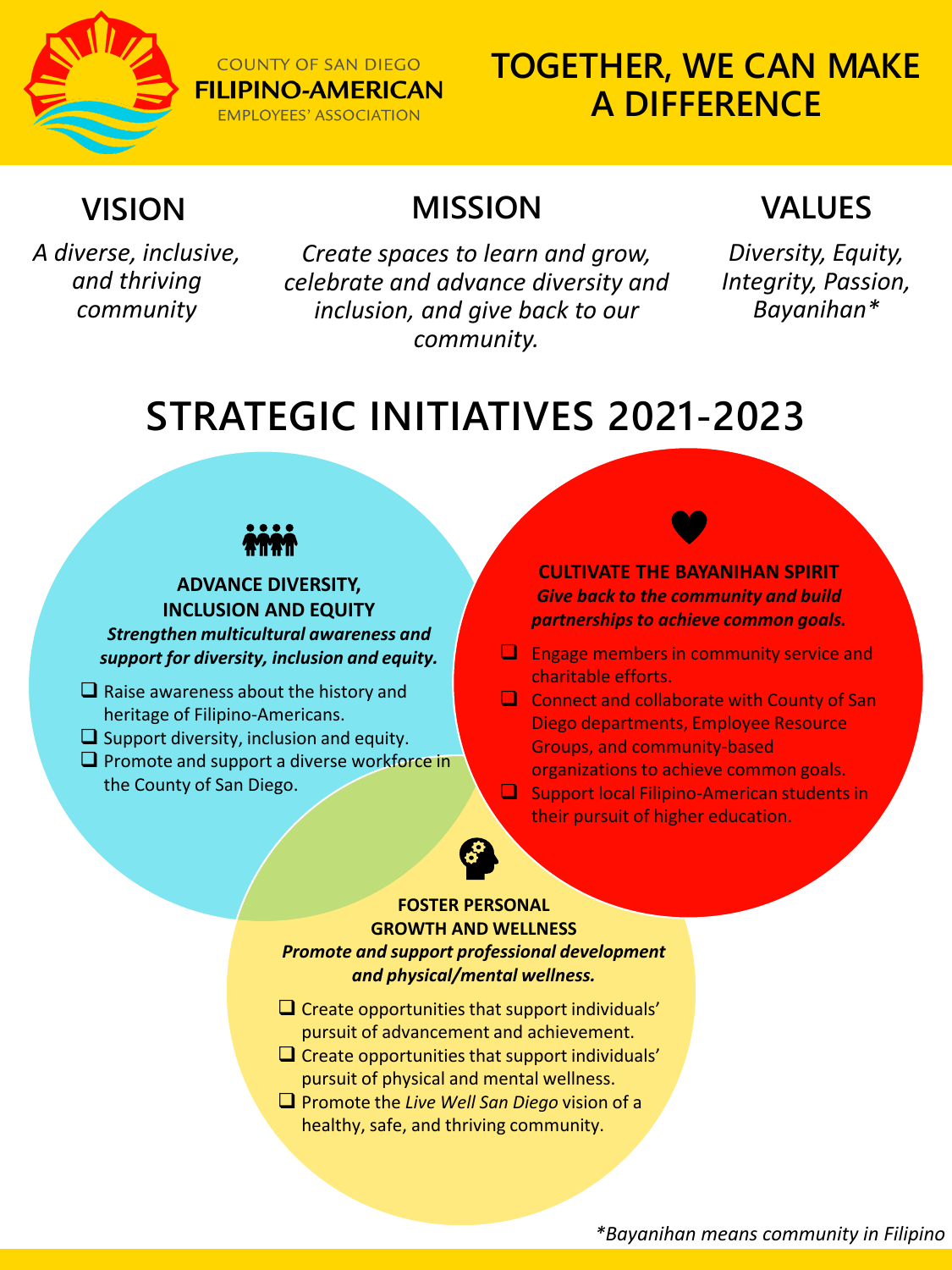

## **TOGETHER, WE CAN MAKE A DIFFERENCE**

## **VISION**

*A diverse, inclusive, and thriving community*

*Create spaces to learn and grow, celebrate and advance diversity and inclusion, and give back to our community.*

**MISSION**

## **VALUES**

*Diversity, Equity, Integrity, Passion, Bayanihan\**

# **STRATEGIC INITIATIVES 2021-2023**



**COUNTY OF SAN DIEGO FILIPINO-AMERICAN EMPLOYEES' ASSOCIATION** 

**ADVANCE DIVERSITY, INCLUSION AND EQUITY** *Strengthen multicultural awareness and support for diversity, inclusion and equity.* 

- $\Box$  Raise awareness about the history and heritage of Filipino-Americans.
- $\Box$  Support diversity, inclusion and equity.
- $\square$  Promote and support a diverse workforce in the County of San Diego.

**CULTIVATE THE BAYANIHAN SPIRIT** *Give back to the community and build partnerships to achieve common goals.* 

- $\Box$  Engage members in community service and charitable efforts.
- $\Box$  Connect and collaborate with County of San Diego departments, Employee Resource Groups, and community-based organizations to achieve common goals.
- $\square$  Support local Filipino-American students in

their pursuit of higher education.

#### **FOSTER PERSONAL GROWTH AND WELLNESS**  *Promote and support professional development and physical/mental wellness.*

- $\square$  Create opportunities that support individuals' pursuit of advancement and achievement.
- $\Box$  Create opportunities that support individuals' pursuit of physical and mental wellness.
- Promote the *Live Well San Diego* vision of a healthy, safe, and thriving community.